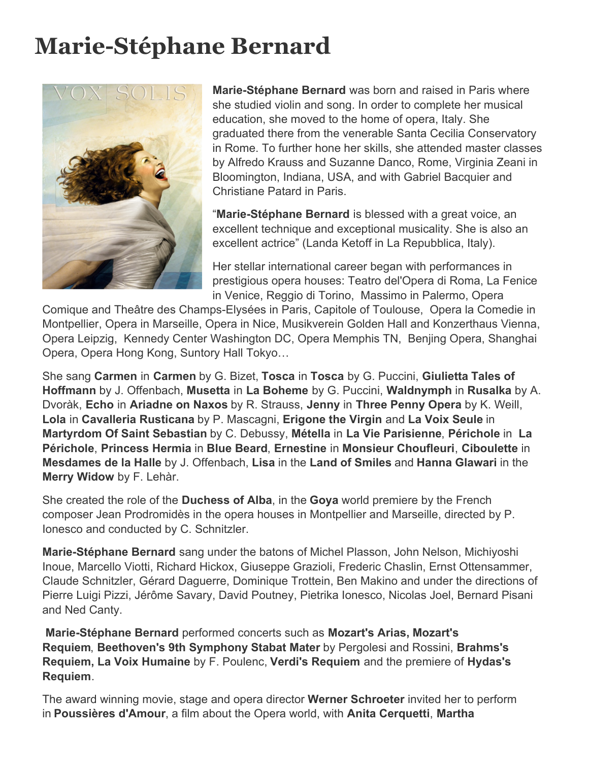## **Marie-Stéphane Bernard**



**Marie-Stéphane Bernard** was born and raised in Paris where she studied violin and song. In order to complete her musical education, she moved to the home of opera, Italy. She graduated there from the venerable Santa Cecilia Conservatory in Rome. To further hone her skills, she attended master classes by Alfredo Krauss and Suzanne Danco, Rome, Virginia Zeani in Bloomington, Indiana, USA, and with Gabriel Bacquier and Christiane Patard in Paris.

"**Marie-Stéphane Bernard** is blessed with a great voice, an excellent technique and exceptional musicality. She is also an excellent actrice" (Landa Ketoff in La Repubblica, Italy).

Her stellar international career began with performances in prestigious opera houses: Teatro del'Opera di Roma, La Fenice in Venice, Reggio di Torino, Massimo in Palermo, Opera

Comique and Theâtre des Champs-Elysées in Paris, Capitole of Toulouse, Opera la Comedie in Montpellier, Opera in Marseille, Opera in Nice, Musikverein Golden Hall and Konzerthaus Vienna, Opera Leipzig, Kennedy Center Washington DC, Opera Memphis TN, Benjing Opera, Shanghai Opera, Opera Hong Kong, Suntory Hall Tokyo…

She sang **Carmen** in **Carmen** by G. Bizet, **Tosca** in **Tosca** by G. Puccini, **Giulietta Tales of Hoffmann** by J. Offenbach, **Musetta** in **La Boheme** by G. Puccini, **Waldnymph** in **Rusalka** by A. Dvoràk, **Echo** in **Ariadne on Naxos** by R. Strauss, **Jenny** in **Three Penny Opera** by K. Weill, **Lola** in **Cavalleria Rusticana** by P. Mascagni, **Erigone the Virgin** and **La Voix Seule** in **Martyrdom Of Saint Sebastian** by C. Debussy, **Métella** in **La Vie Parisienne**, **Périchole** in **La Périchole**, **Princess Hermia** in **Blue Beard**, **Ernestine** in **Monsieur Choufleuri**, **Ciboulette** in **Mesdames de la Halle** by J. Offenbach, **Lisa** in the **Land of Smiles** and **Hanna Glawari** in the **Merry Widow** by F. Lehàr.

She created the role of the **Duchess of Alba**, in the **Goya** world premiere by the French composer Jean Prodromidès in the opera houses in Montpellier and Marseille, directed by P. Ionesco and conducted by C. Schnitzler.

**Marie-Stéphane Bernard** sang under the batons of Michel Plasson, John Nelson, Michiyoshi Inoue, Marcello Viotti, Richard Hickox, Giuseppe Grazioli, Frederic Chaslin, Ernst Ottensammer, Claude Schnitzler, Gérard Daguerre, Dominique Trottein, Ben Makino and under the directions of Pierre Luigi Pizzi, Jérôme Savary, David Poutney, Pietrika Ionesco, Nicolas Joel, Bernard Pisani and Ned Canty.

 **Marie-Stéphane Bernard** performed concerts such as **Mozart's Arias, Mozart's Requiem**, **Beethoven's 9th Symphony Stabat Mater** by Pergolesi and Rossini, **Brahms's Requiem, La Voix Humaine** by F. Poulenc, **Verdi's Requiem** and the premiere of **Hydas's Requiem**.

The award winning movie, stage and opera director **Werner Schroeter** invited her to perform in **Poussières d'Amour**, a film about the Opera world, with **Anita Cerquetti**, **Martha**